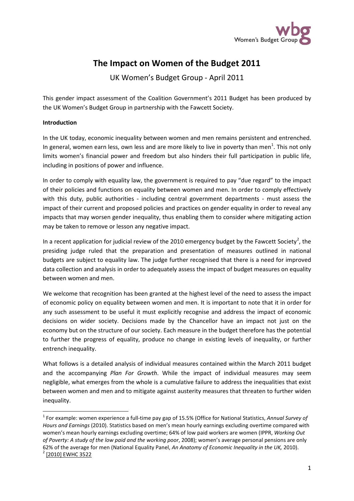

# **The Impact on Women of the Budget 2011**

UK Women's Budget Group - April 2011

This gender impact assessment of the Coalition Government's 2011 Budget has been produced by the UK Women's Budget Group in partnership with the Fawcett Society.

### **Introduction**

In the UK today, economic inequality between women and men remains persistent and entrenched. In general, women earn less, own less and are more likely to live in poverty than men<sup>[1](#page-0-0)</sup>. This not only limits women's financial power and freedom but also hinders their full participation in public life, including in positions of power and influence.

In order to comply with equality law, the government is required to pay "due regard" to the impact of their policies and functions on equality between women and men. In order to comply effectively with this duty, public authorities - including central government departments - must assess the impact of their current and proposed policies and practices on gender equality in order to reveal any impacts that may worsen gender inequality, thus enabling them to consider where mitigating action may be taken to remove or lesson any negative impact.

In a recent application for judicial review of the [2](#page-0-1)010 emergency budget by the Fawcett Society<sup>2</sup>, the presiding judge ruled that the preparation and presentation of measures outlined in national budgets are subject to equality law. The judge further recognised that there is a need for improved data collection and analysis in order to adequately assess the impact of budget measures on equality between women and men.

We welcome that recognition has been granted at the highest level of the need to assess the impact of economic policy on equality between women and men. It is important to note that it in order for any such assessment to be useful it must explicitly recognise and address the impact of economic decisions on wider society. Decisions made by the Chancellor have an impact not just on the economy but on the structure of our society. Each measure in the budget therefore has the potential to further the progress of equality, produce no change in existing levels of inequality, or further entrench inequality.

What follows is a detailed analysis of individual measures contained within the March 2011 budget and the accompanying *Plan For Growth*. While the impact of individual measures may seem negligible, what emerges from the whole is a cumulative failure to address the inequalities that exist between women and men and to mitigate against austerity measures that threaten to further widen inequality.

<span id="page-0-1"></span><span id="page-0-0"></span> <sup>1</sup> For example: women experience a full-time pay gap of 15.5% (Office for National Statistics, *Annual Survey of Hours and Earnings* (2010). Statistics based on men's mean hourly earnings excluding overtime compared with women's mean hourly earnings excluding overtime; 64% of low paid workers are women (IPPR, *Working Out of Poverty: A study of the low paid and the working poor*, 2008); women's average personal pensions are only 62% of the average for men (National Equality Panel, *An Anatomy of Economic Inequality in the UK,* 2010). <sup>2</sup> [2010] EWHC 3522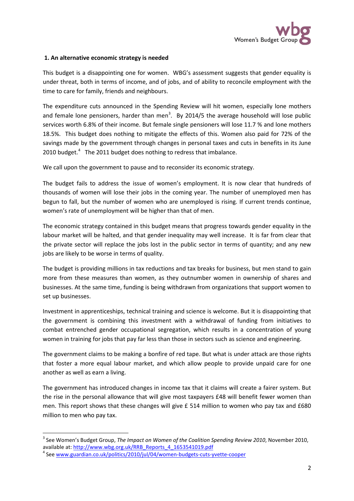

### **1. An alternative economic strategy is needed**

This budget is a disappointing one for women. WBG's assessment suggests that gender equality is under threat, both in terms of income, and of jobs, and of ability to reconcile employment with the time to care for family, friends and neighbours.

The expenditure cuts announced in the Spending Review will hit women, especially lone mothers and female lone pensioners, harder than men<sup>[3](#page-1-0)</sup>. By 2014/5 the average household will lose public services worth 6.8% of their income. But female single pensioners will lose 11.7 % and lone mothers 18.5%. This budget does nothing to mitigate the effects of this. Women also paid for 72% of the savings made by the government through changes in personal taxes and cuts in benefits in its June 2010 budget.<sup>[4](#page-1-1)</sup> The 2011 budget does nothing to redress that imbalance.

We call upon the government to pause and to reconsider its economic strategy.

The budget fails to address the issue of women's employment. It is now clear that hundreds of thousands of women will lose their jobs in the coming year. The number of unemployed men has begun to fall, but the number of women who are unemployed is rising. If current trends continue, women's rate of unemployment will be higher than that of men.

The economic strategy contained in this budget means that progress towards gender equality in the labour market will be halted, and that gender inequality may well increase. It is far from clear that the private sector will replace the jobs lost in the public sector in terms of quantity; and any new jobs are likely to be worse in terms of quality.

The budget is providing millions in tax reductions and tax breaks for business, but men stand to gain more from these measures than women, as they outnumber women in ownership of shares and businesses. At the same time, funding is being withdrawn from organizations that support women to set up businesses.

Investment in apprenticeships, technical training and science is welcome. But it is disappointing that the government is combining this investment with a withdrawal of funding from initiatives to combat entrenched gender occupational segregation, which results in a concentration of young women in training for jobs that pay far less than those in sectors such as science and engineering.

The government claims to be making a bonfire of red tape. But what is under attack are those rights that foster a more equal labour market, and which allow people to provide unpaid care for one another as well as earn a living.

The government has introduced changes in income tax that it claims will create a fairer system. But the rise in the personal allowance that will give most taxpayers £48 will benefit fewer women than men. This report shows that these changes will give £ 514 million to women who pay tax and £680 million to men who pay tax.

<span id="page-1-0"></span> <sup>3</sup> See Women's Budget Group, *The Impact on Women of the Coalition Spending Review 2010*, November 2010, available at: [http://www.wbg.org.uk/RRB\\_Reports\\_4\\_1653541019.pdf](http://www.wbg.org.uk/RRB_Reports_4_1653541019.pdf)<br><sup>4</sup> See [www.guardian.co.uk/politics/2010/jul/04/women-budgets-cuts-yvette-cooper](http://www.guardian.co.uk/politics/2010/jul/04/women-budgets-cuts-yvette-cooper)

<span id="page-1-1"></span>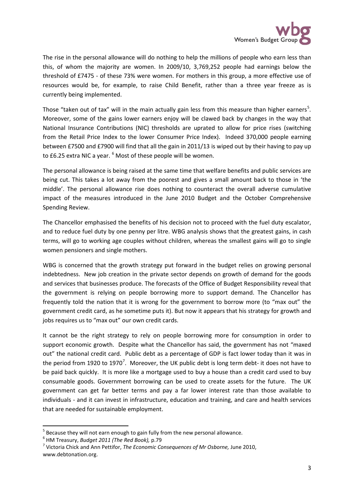

The rise in the personal allowance will do nothing to help the millions of people who earn less than this, of whom the majority are women. In 2009/10, 3,769,252 people had earnings below the threshold of £7475 - of these 73% were women. For mothers in this group, a more effective use of resources would be, for example, to raise Child Benefit, rather than a three year freeze as is currently being implemented.

Those "taken out of tax" will in the main actually gain less from this measure than higher earners<sup>[5](#page-2-0)</sup>. Moreover, some of the gains lower earners enjoy will be clawed back by changes in the way that National Insurance Contributions (NIC) thresholds are uprated to allow for price rises (switching from the Retail Price Index to the lower Consumer Price Index). Indeed 370,000 people earning between £7500 and £7900 will find that all the gain in 2011/13 is wiped out by their having to pay up to £[6](#page-2-1).25 extra NIC a year. <sup>6</sup> Most of these people will be women.

The personal allowance is being raised at the same time that welfare benefits and public services are being cut. This takes a lot away from the poorest and gives a small amount back to those in 'the middle'. The personal allowance rise does nothing to counteract the overall adverse cumulative impact of the measures introduced in the June 2010 Budget and the October Comprehensive Spending Review.

The Chancellor emphasised the benefits of his decision not to proceed with the fuel duty escalator, and to reduce fuel duty by one penny per litre. WBG analysis shows that the greatest gains, in cash terms, will go to working age couples without children, whereas the smallest gains will go to single women pensioners and single mothers.

WBG is concerned that the growth strategy put forward in the budget relies on growing personal indebtedness. New job creation in the private sector depends on growth of demand for the goods and services that businesses produce. The forecasts of the Office of Budget Responsibility reveal that the government is relying on people borrowing more to support demand. The Chancellor has frequently told the nation that it is wrong for the government to borrow more (to "max out" the government credit card, as he sometime puts it). But now it appears that his strategy for growth and jobs requires us to "max out" our own credit cards.

It cannot be the right strategy to rely on people borrowing more for consumption in order to support economic growth. Despite what the Chancellor has said, the government has not "maxed out" the national credit card. Public debt as a percentage of GDP is fact lower today than it was in the period from 1920 to 19[7](#page-2-2)0<sup>7</sup>. Moreover, the UK public debt is long term debt- it does not have to be paid back quickly. It is more like a mortgage used to buy a house than a credit card used to buy consumable goods. Government borrowing can be used to create assets for the future. The UK government can get far better terms and pay a far lower interest rate than those available to individuals - and it can invest in infrastructure, education and training, and care and health services that are needed for sustainable employment.

<span id="page-2-0"></span><sup>&</sup>lt;sup>5</sup> Because they will not earn enough to gain fully from the new personal allowance.<br><sup>6</sup> HM Treasury, *Budget 2011 (The Red Book)*, p.79

<span id="page-2-1"></span>

<span id="page-2-2"></span><sup>&</sup>lt;sup>7</sup> Victoria Chick and Ann Pettifor, *The Economic Consequences of Mr Osborne*, June 2010, www.debtonation.org.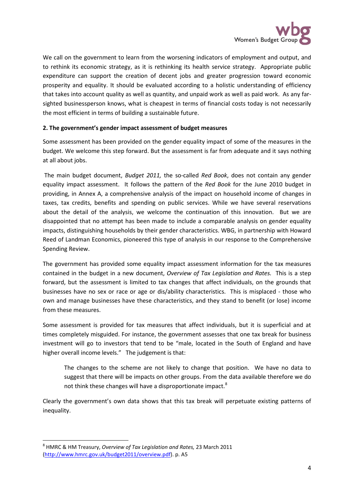

We call on the government to learn from the worsening indicators of employment and output, and to rethink its economic strategy, as it is rethinking its health service strategy. Appropriate public expenditure can support the creation of decent jobs and greater progression toward economic prosperity and equality. It should be evaluated according to a holistic understanding of efficiency that takes into account quality as well as quantity, and unpaid work as well as paid work. As any farsighted businessperson knows, what is cheapest in terms of financial costs today is not necessarily the most efficient in terms of building a sustainable future.

### **2. The government's gender impact assessment of budget measures**

Some assessment has been provided on the gender equality impact of some of the measures in the budget. We welcome this step forward. But the assessment is far from adequate and it says nothing at all about jobs.

The main budget document, *Budget 2011,* the so-called *Red Book*, does not contain any gender equality impact assessment. It follows the pattern of the *Red Book* for the June 2010 budget in providing, in Annex A, a comprehensive analysis of the impact on household income of changes in taxes, tax credits, benefits and spending on public services. While we have several reservations about the detail of the analysis, we welcome the continuation of this innovation. But we are disappointed that no attempt has been made to include a comparable analysis on gender equality impacts, distinguishing households by their gender characteristics. WBG, in partnership with Howard Reed of Landman Economics, pioneered this type of analysis in our response to the Comprehensive Spending Review.

The government has provided some equality impact assessment information for the tax measures contained in the budget in a new document, *Overview of Tax Legislation and Rates.* This is a step forward, but the assessment is limited to tax changes that affect individuals, on the grounds that businesses have no sex or race or age or dis/ability characteristics. This is misplaced - those who own and manage businesses have these characteristics, and they stand to benefit (or lose) income from these measures.

Some assessment is provided for tax measures that affect individuals, but it is superficial and at times completely misguided. For instance, the government assesses that one tax break for business investment will go to investors that tend to be "male, located in the South of England and have higher overall income levels." The judgement is that:

The changes to the scheme are not likely to change that position. We have no data to suggest that there will be impacts on other groups. From the data available therefore we do not think these changes will have a disproportionate impact.<sup>[8](#page-3-0)</sup>

Clearly the government's own data shows that this tax break will perpetuate existing patterns of inequality.

<span id="page-3-0"></span> <sup>8</sup> HMRC & HM Treasury, *Overview of Tax Legislation and Rates,* 23 March 2011 [\(http://www.hmrc.gov.uk/budget2011/overview.pdf\)](http://www.hmrc.gov.uk/budget2011/overview.pdf). p. A5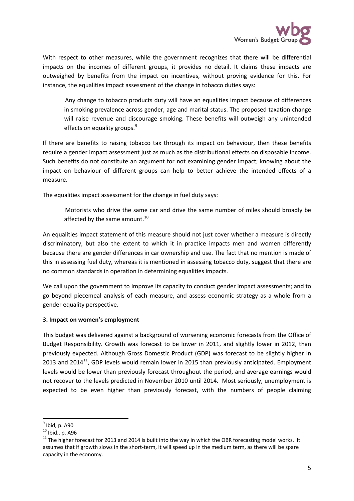

With respect to other measures, while the government recognizes that there will be differential impacts on the incomes of different groups, it provides no detail. It claims these impacts are outweighed by benefits from the impact on incentives, without proving evidence for this. For instance, the equalities impact assessment of the change in tobacco duties says:

Any change to tobacco products duty will have an equalities impact because of differences in smoking prevalence across gender, age and marital status. The proposed taxation change will raise revenue and discourage smoking. These benefits will outweigh any unintended effects on equality groups.<sup>[9](#page-4-0)</sup>

If there are benefits to raising tobacco tax through its impact on behaviour, then these benefits require a gender impact assessment just as much as the distributional effects on disposable income. Such benefits do not constitute an argument for not examining gender impact; knowing about the impact on behaviour of different groups can help to better achieve the intended effects of a measure.

The equalities impact assessment for the change in fuel duty says:

Motorists who drive the same car and drive the same number of miles should broadly be affected by the same amount. $^{10}$  $^{10}$  $^{10}$ 

An equalities impact statement of this measure should not just cover whether a measure is directly discriminatory, but also the extent to which it in practice impacts men and women differently because there are gender differences in car ownership and use. The fact that no mention is made of this in assessing fuel duty, whereas it is mentioned in assessing tobacco duty, suggest that there are no common standards in operation in determining equalities impacts.

We call upon the government to improve its capacity to conduct gender impact assessments; and to go beyond piecemeal analysis of each measure, and assess economic strategy as a whole from a gender equality perspective.

### **3. Impact on women's employment**

This budget was delivered against a background of worsening economic forecasts from the Office of Budget Responsibility. Growth was forecast to be lower in 2011, and slightly lower in 2012, than previously expected. Although Gross Domestic Product (GDP) was forecast to be slightly higher in 2013 and 2014 $^{11}$  $^{11}$  $^{11}$ , GDP levels would remain lower in 2015 than previously anticipated. Employment levels would be lower than previously forecast throughout the period, and average earnings would not recover to the levels predicted in November 2010 until 2014. Most seriously, unemployment is expected to be even higher than previously forecast, with the numbers of people claiming

<span id="page-4-0"></span> $\frac{9}{10}$  Ibid, p. A90<br> $\frac{10}{10}$  Ibid., p. A96

<span id="page-4-2"></span><span id="page-4-1"></span> $11$  The higher forecast for 2013 and 2014 is built into the way in which the OBR forecasting model works. It assumes that if growth slows in the short-term, it will speed up in the medium term, as there will be spare capacity in the economy.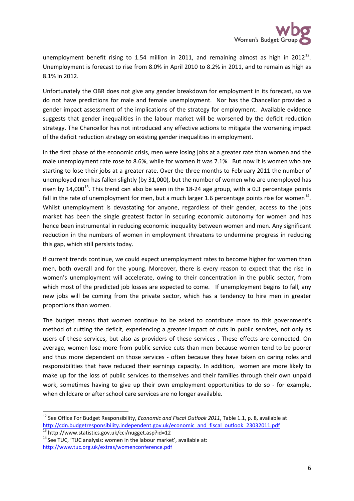unemployment benefit rising to 1.54 million in 2011, and remaining almost as high in 20[12](#page-5-0)<sup>12</sup>. Unemployment is forecast to rise from 8.0% in April 2010 to 8.2% in 2011, and to remain as high as 8.1% in 2012.

Unfortunately the OBR does not give any gender breakdown for employment in its forecast, so we do not have predictions for male and female unemployment. Nor has the Chancellor provided a gender impact assessment of the implications of the strategy for employment. Available evidence suggests that gender inequalities in the labour market will be worsened by the deficit reduction strategy. The Chancellor has not introduced any effective actions to mitigate the worsening impact of the deficit reduction strategy on existing gender inequalities in employment.

In the first phase of the economic crisis, men were losing jobs at a greater rate than women and the male unemployment rate rose to 8.6%, while for women it was 7.1%. But now it is women who are starting to lose their jobs at a greater rate. Over the three months to February 2011 the number of unemployed men has fallen slightly (by 31,000), but the number of women who are unemployed has risen by 14,000<sup>[13](#page-5-1)</sup>. This trend can also be seen in the 18-24 age group, with a 0.3 percentage points fall in the rate of unemployment for men, but a much larger 1.6 percentage points rise for women<sup>[14](#page-5-2)</sup>. Whilst unemployment is devastating for anyone, regardless of their gender, access to the jobs market has been the single greatest factor in securing economic autonomy for women and has hence been instrumental in reducing economic inequality between women and men. Any significant reduction in the numbers of women in employment threatens to undermine progress in reducing this gap, which still persists today.

If current trends continue, we could expect unemployment rates to become higher for women than men, both overall and for the young. Moreover, there is every reason to expect that the rise in women's unemployment will accelerate, owing to their concentration in the public sector, from which most of the predicted job losses are expected to come. If unemployment begins to fall, any new jobs will be coming from the private sector, which has a tendency to hire men in greater proportions than women.

The budget means that women continue to be asked to contribute more to this government's method of cutting the deficit, experiencing a greater impact of cuts in public services, not only as users of these services, but also as providers of these services . These effects are connected. On average, women lose more from public service cuts than men because women tend to be poorer and thus more dependent on those services - often because they have taken on caring roles and responsibilities that have reduced their earnings capacity. In addition, women are more likely to make up for the loss of public services to themselves and their families through their own unpaid work, sometimes having to give up their own employment opportunities to do so - for example, when childcare or after school care services are no longer available.

<span id="page-5-0"></span> <sup>12</sup> See Office For Budget Responsibility, *Economic and Fiscal Outlook 2011*, Table 1.1, p. 8, available at [http://cdn.budgetresponsibility.independent.gov.uk/economic\\_and\\_fiscal\\_outlook\\_23032011.pdf](http://cdn.budgetresponsibility.independent.gov.uk/economic_and_fiscal_outlook_23032011.pdf)<br>
<sup>13</sup> http://www.statistics.gov.uk/cci/nugget.asp?id=12

<span id="page-5-1"></span>

<span id="page-5-2"></span> $14$  See TUC, 'TUC analysis: women in the labour market', available at: <http://www.tuc.org.uk/extras/womenconference.pdf>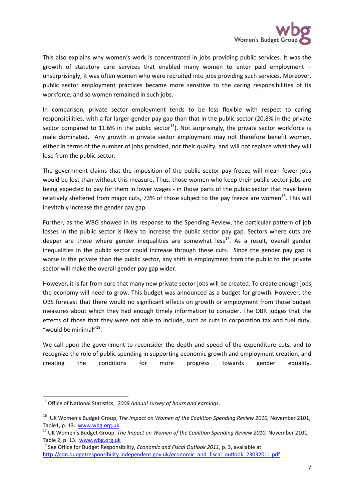

This also explains why women's work is concentrated in jobs providing public services. It was the growth of statutory care services that enabled many women to enter paid employment – unsurprisingly, it was often women who were recruited into jobs providing such services. Moreover, public sector employment practices became more sensitive to the caring responsibilities of its workforce, and so women remained in such jobs.

In comparison, private sector employment tends to be less flexible with respect to caring responsibilities, with a far larger gender pay gap than that in the public sector (20.8% in the private sector compared to 11.6% in the public sector<sup>[15](#page-6-0)</sup>). Not surprisingly, the private sector workforce is male dominated. Any growth in private sector employment may not therefore benefit women, either in terms of the number of jobs provided, nor their quality, and will not replace what they will lose from the public sector.

The government claims that the imposition of the public sector pay freeze will mean fewer jobs would be lost than without this measure. Thus, those women who keep their public sector jobs are being expected to pay for them in lower wages - in those parts of the public sector that have been relatively sheltered from major cuts, 73% of those subject to the pay freeze are women<sup>[16](#page-6-1)</sup>. This will inevitably increase the gender pay gap.

Further, as the WBG showed in its response to the Spending Review, the particular pattern of job losses in the public sector is likely to increase the public sector pay gap. Sectors where cuts are deeper are those where gender inequalities are somewhat less<sup>[17](#page-6-2)</sup>. As a result, overall gender inequalities in the public sector could increase through these cuts. Since the gender pay gap is worse in the private than the public sector, any shift in employment from the public to the private sector will make the overall gender pay gap wider.

However, it is far from sure that many new private sector jobs will be created. To create enough jobs, the economy will need to grow. This budget was announced as a budget for growth. However, the OBS forecast that there would no significant effects on growth or employment from those budget measures about which they had enough timely information to consider. The OBR judges that the effects of those that they were not able to include, such as cuts in corporation tax and fuel duty, "would be minimal"<sup>[18](#page-6-3)</sup>.

We call upon the government to reconsider the depth and speed of the expenditure cuts, and to recognize the role of public spending in supporting economic growth and employment creation, and creating the conditions for more progress towards gender equality.

<span id="page-6-0"></span> <sup>15</sup> Office of National Statistics, *2009 Annual survey of hours and earnings*.

<span id="page-6-1"></span><sup>16</sup> UK Women's Budget Group, *The Impact on Women of the Coalition Spending Review 2010,* November 2101, Table1, p. 13. [www.wbg.org.uk](http://www.wbg.org.uk/)<br><sup>17</sup> UK Women's Budget Group, *The Impact on Women of the Coalition Spending Review 2010,* November 2101,

<span id="page-6-2"></span>Table 2, p. 13. [www.wbg.org.uk](http://www.wbg.org.uk/)<br><sup>18</sup> See Office for Budget Responsibility, *Economic and Fiscal Outlook 2011*, p. 3, available at

<span id="page-6-3"></span>[http://cdn.budgetresponsibility.independent.gov.uk/economic\\_and\\_fiscal\\_outlook\\_23032011.pdf](http://cdn.budgetresponsibility.independent.gov.uk/economic_and_fiscal_outlook_23032011.pdf)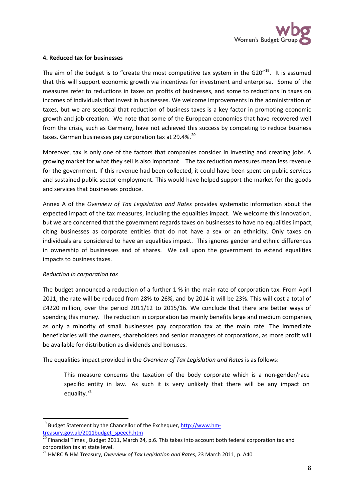

### **4. Reduced tax for businesses**

The aim of the budget is to "create the most competitive tax system in the G20 $^{\prime\prime}$ <sup>[19](#page-7-0)</sup>. It is assumed that this will support economic growth via incentives for investment and enterprise. Some of the measures refer to reductions in taxes on profits of businesses, and some to reductions in taxes on incomes of individuals that invest in businesses. We welcome improvements in the administration of taxes, but we are sceptical that reduction of business taxes is a key factor in promoting economic growth and job creation. We note that some of the European economies that have recovered well from the crisis, such as Germany, have not achieved this success by competing to reduce business taxes. German businesses pay corporation tax at 29.4%.<sup>[20](#page-7-1)</sup>

Moreover, tax is only one of the factors that companies consider in investing and creating jobs. A growing market for what they sell is also important. The tax reduction measures mean less revenue for the government. If this revenue had been collected, it could have been spent on public services and sustained public sector employment. This would have helped support the market for the goods and services that businesses produce.

Annex A of the *Overview of Tax Legislation and Rates* provides systematic information about the expected impact of the tax measures, including the equalities impact. We welcome this innovation, but we are concerned that the government regards taxes on businesses to have no equalities impact, citing businesses as corporate entities that do not have a sex or an ethnicity. Only taxes on individuals are considered to have an equalities impact. This ignores gender and ethnic differences in ownership of businesses and of shares. We call upon the government to extend equalities impacts to business taxes.

### *Reduction in corporation tax*

The budget announced a reduction of a further 1 % in the main rate of corporation tax. From April 2011, the rate will be reduced from 28% to 26%, and by 2014 it will be 23%. This will cost a total of £4220 million, over the period 2011/12 to 2015/16. We conclude that there are better ways of spending this money. The reduction in corporation tax mainly benefits large and medium companies, as only a minority of small businesses pay corporation tax at the main rate. The immediate beneficiaries will the owners, shareholders and senior managers of corporations, as more profit will be available for distribution as dividends and bonuses.

The equalities impact provided in the *Overview of Tax Legislation and Rates* is as follows:

This measure concerns the taxation of the body corporate which is a non-gender/race specific entity in law. As such it is very unlikely that there will be any impact on equality.<sup>[21](#page-7-2)</sup>

<span id="page-7-0"></span><sup>&</sup>lt;sup>19</sup> Budget Statement by the Chancellor of the Exchequer, [http://www.hm](http://www.hm-treasury.gov.uk/2011budget_speech.htm)[treasury.gov.uk/2011budget\\_speech.htm](http://www.hm-treasury.gov.uk/2011budget_speech.htm)

<span id="page-7-1"></span> $\frac{20}{20}$  Financial Times, Budget 2011, March 24, p.6. This takes into account both federal corporation tax and corporation tax at state level.

<span id="page-7-2"></span><sup>21</sup> HMRC & HM Treasury, *Overview of Tax Legislation and Rates,* 23 March 2011, p. A40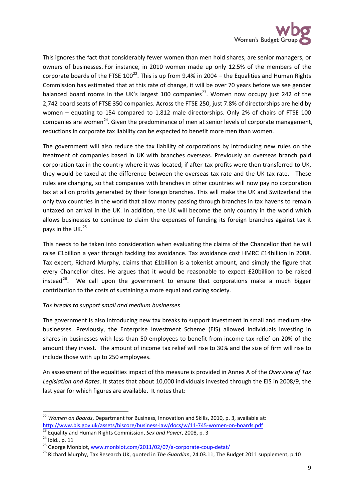

This ignores the fact that considerably fewer women than men hold shares, are senior managers, or owners of businesses. For instance, in 2010 women made up only 12.5% of the members of the corporate boards of the FTSE  $100^{22}$ . This is up from 9.4% in 2004 – the Equalities and Human Rights Commission has estimated that at this rate of change, it will be over 70 years before we see gender balanced board rooms in the UK's largest 100 companies<sup>[23](#page-8-1)</sup>. Women now occupy just 242 of the 2,742 board seats of FTSE 350 companies. Across the FTSE 250, just 7.8% of directorships are held by women – equating to 154 compared to 1,812 male directorships. Only 2% of chairs of FTSE 100 companies are women<sup>[24](#page-8-2)</sup>. Given the predominance of men at senior levels of corporate management, reductions in corporate tax liability can be expected to benefit more men than women.

The government will also reduce the tax liability of corporations by introducing new rules on the treatment of companies based in UK with branches overseas. Previously an overseas branch paid corporation tax in the country where it was located; if after-tax profits were then transferred to UK, they would be taxed at the difference between the overseas tax rate and the UK tax rate. These rules are changing, so that companies with branches in other countries will now pay no corporation tax at all on profits generated by their foreign branches. This will make the UK and Switzerland the only two countries in the world that allow money passing through branches in tax havens to remain untaxed on arrival in the UK. In addition, the UK will become the only country in the world which allows businesses to continue to claim the expenses of funding its foreign branches against tax it pays in the UK.<sup>[25](#page-8-3)</sup>

This needs to be taken into consideration when evaluating the claims of the Chancellor that he will raise £1billion a year through tackling tax avoidance. Tax avoidance cost HMRC £14billion in 2008. Tax expert, Richard Murphy, claims that £1billion is a tokenist amount, and simply the figure that every Chancellor cites. He argues that it would be reasonable to expect £20billion to be raised instead<sup>[26](#page-8-4)</sup>. We call upon the government to ensure that corporations make a much bigger contribution to the costs of sustaining a more equal and caring society.

### *Tax breaks to support small and medium businesses*

The government is also introducing new tax breaks to support investment in small and medium size businesses. Previously, the Enterprise Investment Scheme (EIS) allowed individuals investing in shares in businesses with less than 50 employees to benefit from income tax relief on 20% of the amount they invest. The amount of income tax relief will rise to 30% and the size of firm will rise to include those with up to 250 employees.

An assessment of the equalities impact of this measure is provided in Annex A of the *Overview of Tax Legislation and Rates*. It states that about 10,000 individuals invested through the EIS in 2008/9, the last year for which figures are available. It notes that:

<span id="page-8-0"></span><sup>&</sup>lt;sup>22</sup> *Women on Boards*, Department for Business, Innovation and Skills, 2010, p. 3, available at:<br>http://www.bis.gov.uk/assets/biscore/business-law/docs/w/11-745-women-on-boards.pdf

<span id="page-8-2"></span>

<span id="page-8-4"></span><span id="page-8-3"></span>

<span id="page-8-1"></span><sup>&</sup>lt;sup>23</sup> Equality and Human Rights Commission, *Sex and Power*, 2008, p. 3<br><sup>24</sup> Ibid., p. 11<br><sup>25</sup> George Monbiot, [www.monbiot.com/2011/02/07/a-corporate-coup-detat/](http://www.monbiot.com/2011/02/07/a-corporate-coup-detat/)<br><sup>26</sup> Richard Murphy, Tax Research UK, quoted in *The Guardia*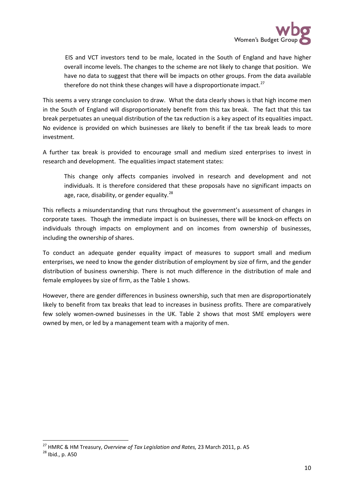

EIS and VCT investors tend to be male, located in the South of England and have higher overall income levels. The changes to the scheme are not likely to change that position. We have no data to suggest that there will be impacts on other groups. From the data available therefore do not think these changes will have a disproportionate impact.<sup>[27](#page-9-0)</sup>

This seems a very strange conclusion to draw. What the data clearly shows is that high income men in the South of England will disproportionately benefit from this tax break. The fact that this tax break perpetuates an unequal distribution of the tax reduction is a key aspect of its equalities impact. No evidence is provided on which businesses are likely to benefit if the tax break leads to more investment.

A further tax break is provided to encourage small and medium sized enterprises to invest in research and development. The equalities impact statement states:

This change only affects companies involved in research and development and not individuals. It is therefore considered that these proposals have no significant impacts on age, race, disability, or gender equality. $^{28}$  $^{28}$  $^{28}$ 

This reflects a misunderstanding that runs throughout the government's assessment of changes in corporate taxes. Though the immediate impact is on businesses, there will be knock-on effects on individuals through impacts on employment and on incomes from ownership of businesses, including the ownership of shares.

To conduct an adequate gender equality impact of measures to support small and medium enterprises, we need to know the gender distribution of employment by size of firm, and the gender distribution of business ownership. There is not much difference in the distribution of male and female employees by size of firm, as the Table 1 shows.

However, there are gender differences in business ownership, such that men are disproportionately likely to benefit from tax breaks that lead to increases in business profits. There are comparatively few solely women-owned businesses in the UK. Table 2 shows that most SME employers were owned by men, or led by a management team with a majority of men.

<span id="page-9-1"></span><span id="page-9-0"></span><sup>&</sup>lt;sup>27</sup> HMRC & HM Treasury, *Overview of Tax Legislation and Rates*, 23 March 2011, p. A5<sup>28</sup> Ibid., p. A50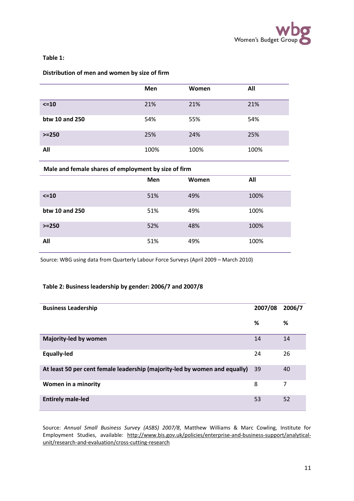

### **Table 1:**

### **Distribution of men and women by size of firm**

|                | <b>Men</b> | Women | All  |
|----------------|------------|-------|------|
| $\leq$ 10      | 21%        | 21%   | 21%  |
| btw 10 and 250 | 54%        | 55%   | 54%  |
| $>=250$        | 25%        | 24%   | 25%  |
| All            | 100%       | 100%  | 100% |

### **Male and female shares of employment by size of firm**

|                | Men | Women | All  |
|----------------|-----|-------|------|
| $\leq$ 10      | 51% | 49%   | 100% |
| btw 10 and 250 | 51% | 49%   | 100% |
| $>=250$        | 52% | 48%   | 100% |
| All            | 51% | 49%   | 100% |

Source: WBG using data from Quarterly Labour Force Surveys (April 2009 – March 2010)

#### **Table 2: Business leadership by gender: 2006/7 and 2007/8**

| <b>Business Leadership</b>                                                 | 2007/08 | 2006/7 |
|----------------------------------------------------------------------------|---------|--------|
|                                                                            | %       | %      |
| Majority-led by women                                                      | 14      | 14     |
| <b>Equally-led</b>                                                         | 24      | 26     |
| At least 50 per cent female leadership (majority-led by women and equally) | 39      | 40     |
| Women in a minority                                                        | 8       | 7      |
| <b>Entirely male-led</b>                                                   | 53      | 52     |

Source: *Annual Small Business Survey (ASBS) 2007/8*, Matthew Williams & Marc Cowling, Institute for Employment Studies, available: [http://www.bis.gov.uk/policies/enterprise-and-business-support/analytical](http://www.bis.gov.uk/policies/enterprise-and-business-support/analytical-unit/research-and-evaluation/cross-cutting-research)[unit/research-and-evaluation/cross-cutting-research](http://www.bis.gov.uk/policies/enterprise-and-business-support/analytical-unit/research-and-evaluation/cross-cutting-research)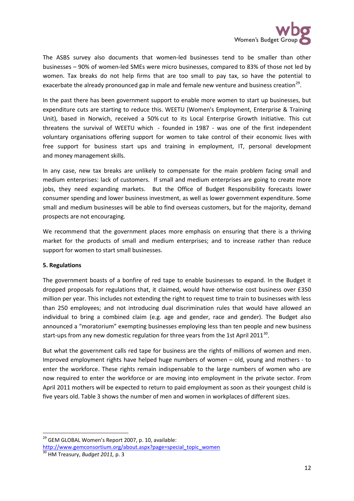

The ASBS survey also documents that women-led businesses tend to be smaller than other businesses – 90% of women-led SMEs were micro businesses, compared to 83% of those not led by women. Tax breaks do not help firms that are too small to pay tax, so have the potential to exacerbate the already pronounced gap in male and female new venture and business creation<sup>[29](#page-11-0)</sup>.

In the past there has been government support to enable more women to start up businesses, but expenditure cuts are starting to reduce this. WEETU (Women's Employment, Enterprise & Training Unit), based in Norwich, received a 50% cut to its Local Enterprise Growth Initiative. This cut threatens the survival of WEETU which - founded in 1987 - was one of the first independent voluntary organisations offering support for women to take control of their economic lives with free support for business start ups and training in employment, IT, personal development and money management skills.

In any case, new tax breaks are unlikely to compensate for the main problem facing small and medium enterprises: lack of customers. If small and medium enterprises are going to create more jobs, they need expanding markets. But the Office of Budget Responsibility forecasts lower consumer spending and lower business investment, as well as lower government expenditure. Some small and medium businesses will be able to find overseas customers, but for the majority, demand prospects are not encouraging.

We recommend that the government places more emphasis on ensuring that there is a thriving market for the products of small and medium enterprises; and to increase rather than reduce support for women to start small businesses.

### **5. Regulations**

The government boasts of a bonfire of red tape to enable businesses to expand. In the Budget it dropped proposals for regulations that, it claimed, would have otherwise cost business over £350 million per year. This includes not extending the right to request time to train to businesses with less than 250 employees; and not introducing dual discrimination rules that would have allowed an individual to bring a combined claim (e.g. age and gender, race and gender). The Budget also announced a "moratorium" exempting businesses employing less than ten people and new business start-ups from any new domestic regulation for three years from the 1st April 2011<sup>[30](#page-11-1)</sup>.

But what the government calls red tape for business are the rights of millions of women and men. Improved employment rights have helped huge numbers of women – old, young and mothers - to enter the workforce. These rights remain indispensable to the large numbers of women who are now required to enter the workforce or are moving into employment in the private sector. From April 2011 mothers will be expected to return to paid employment as soon as their youngest child is five years old. Table 3 shows the number of men and women in workplaces of different sizes.

<span id="page-11-0"></span><sup>&</sup>lt;sup>29</sup> GEM GLOBAL Women's Report 2007, p. 10, available:

<span id="page-11-1"></span>[http://www.gemconsortium.org/about.aspx?page=special\\_topic\\_women](http://www.gemconsortium.org/about.aspx?page=special_topic_women) <sup>30</sup> HM Treasury, *Budget 2011*, p. 3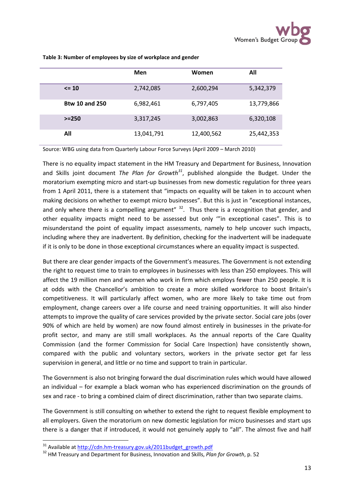|                       | Men        | Women      | All        |
|-----------------------|------------|------------|------------|
| $\leq 10$             | 2,742,085  | 2,600,294  | 5,342,379  |
| <b>Btw 10 and 250</b> | 6,982,461  | 6,797,405  | 13,779,866 |
| $> = 250$             | 3,317,245  | 3,002,863  | 6,320,108  |
| All                   | 13,041,791 | 12,400,562 | 25,442,353 |

**Table 3: Number of employees by size of workplace and gender**

Source: WBG using data from Quarterly Labour Force Surveys (April 2009 – March 2010)

There is no equality impact statement in the HM Treasury and Department for Business, Innovation and Skills joint document *The Plan for Growth[31](#page-12-0)*, published alongside the Budget. Under the moratorium exempting micro and start-up businesses from new domestic regulation for three years from 1 April 2011, there is a statement that "impacts on equality will be taken in to account when making decisions on whether to exempt micro businesses". But this is just in "exceptional instances, and only where there is a compelling argument"  $32$ . Thus there is a recognition that gender, and other equality impacts might need to be assessed but only '"in exceptional cases". This is to misunderstand the point of equality impact assessments, namely to help uncover such impacts, including where they are inadvertent. By definition, checking for the inadvertent will be inadequate if it is only to be done in those exceptional circumstances where an equality impact is suspected.

But there are clear gender impacts of the Government's measures. The Government is not extending the right to request time to train to employees in businesses with less than 250 employees. This will affect the 19 million men and women who work in firm which employs fewer than 250 people. It is at odds with the Chancellor's ambition to create a more skilled workforce to boost Britain's competitiveness. It will particularly affect women, who are more likely to take time out from employment, change careers over a life course and need training opportunities. It will also hinder attempts to improve the quality of care services provided by the private sector. Social care jobs (over 90% of which are held by women) are now found almost entirely in businesses in the private-for profit sector, and many are still small workplaces. As the annual reports of the Care Quality Commission (and the former Commission for Social Care Inspection) have consistently shown, compared with the public and voluntary sectors, workers in the private sector get far less supervision in general, and little or no time and support to train in particular.

The Government is also not bringing forward the dual discrimination rules which would have allowed an individual – for example a black woman who has experienced discrimination on the grounds of sex and race - to bring a combined claim of direct discrimination, rather than two separate claims.

The Government is still consulting on whether to extend the right to request flexible employment to all employers. Given the moratorium on new domestic legislation for micro businesses and start ups there is a danger that if introduced, it would not genuinely apply to "all". The almost five and half

<span id="page-12-1"></span><span id="page-12-0"></span><sup>&</sup>lt;sup>31</sup> Available a[t http://cdn.hm-treasury.gov.uk/2011budget\\_growth.pdf](http://cdn.hm-treasury.gov.uk/2011budget_growth.pdf)<br><sup>32</sup> HM Treasury and Department for Business, Innovation and Skills, *Plan for Growth*, p. 52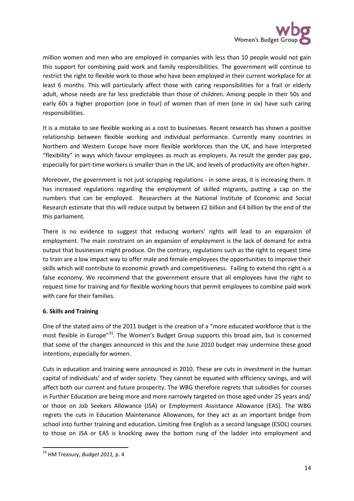

million women and men who are employed in companies with less than 10 people would not gain this support for combining paid work and family responsibilities. The government will continue to restrict the right to flexible work to those who have been employed in their current workplace for at least 6 months. This will particularly affect those with caring responsibilities for a frail or elderly adult, whose needs are far less predictable than those of children. Among people in their 50s and early 60s a higher proportion (one in four) of women than of men (one in six) have such caring responsibilities.

It is a mistake to see flexible working as a cost to businesses. Recent research has shown a positive relationship between flexible working and individual performance. Currently many countries in Northern and Western Europe have more flexible workforces than the UK, and have interpreted "flexibility" in ways which favour employees as much as employers. As result the gender pay gap, especially for part-time workers is smaller than in the UK, and levels of productivity are often higher.

Moreover, the government is not just scrapping regulations - in some areas, it is increasing them. It has increased regulations regarding the employment of skilled migrants, putting a cap on the numbers that can be employed. Researchers at the National Institute of Economic and Social Research estimate that this will reduce output by between £2 billion and £4 billion by the end of the this parliament.

There is no evidence to suggest that reducing workers' rights will lead to an expansion of employment. The main constraint on an expansion of employment is the lack of demand for extra output that businesses might produce. On the contrary, regulations such as the right to request time to train are a low impact way to offer male and female employees the opportunities to improve their skills which will contribute to economic growth and competitiveness. Failing to extend this right is a false economy. We recommend that the government ensure that all employees have the right to request time for training and for flexible working hours that permit employees to combine paid work with care for their families.

# **6. Skills and Training**

One of the stated aims of the 2011 budget is the creation of a "more educated workforce that is the most flexible in Europe"<sup>[33](#page-13-0)</sup>. The Women's Budget Group supports this broad aim, but is concerned that some of the changes announced in this and the June 2010 budget may undermine these good intentions, especially for women.

Cuts in education and training were announced in 2010. These are cuts in *investment* in the human capital of individuals' and of wider society. They cannot be equated with efficiency savings, and will affect both our current and future prosperity. The WBG therefore regrets that subsidies for courses in Further Education are being more and more narrowly targeted on those aged under 25 years and/ or those on Job Seekers Allowance (JSA) or Employment Assistance Allowance (EAS). The WBG regrets the cuts in Education Maintenance Allowances, for they act as an important bridge from school into further training and education. Limiting free English as a second language (ESOL) courses to those on JSA or EAS is knocking away the bottom rung of the ladder into employment and

<span id="page-13-0"></span> <sup>33</sup> HM Treasury, *Budget 2011,* p. 4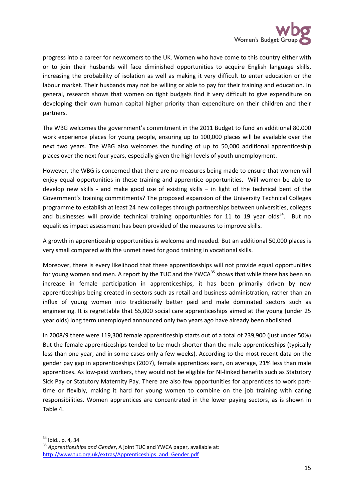

progress into a career for newcomers to the UK. Women who have come to this country either with or to join their husbands will face diminished opportunities to acquire English language skills, increasing the probability of isolation as well as making it very difficult to enter education or the labour market. Their husbands may not be willing or able to pay for their training and education. In general, research shows that women on tight budgets find it very difficult to give expenditure on developing their own human capital higher priority than expenditure on their children and their partners.

The WBG welcomes the government's commitment in the 2011 Budget to fund an additional 80,000 work experience places for young people, ensuring up to 100,000 places will be available over the next two years. The WBG also welcomes the funding of up to 50,000 additional apprenticeship places over the next four years, especially given the high levels of youth unemployment.

However, the WBG is concerned that there are no measures being made to ensure that women will enjoy equal opportunities in these training and apprentice opportunities. Will women be able to develop new skills - and make good use of existing skills – in light of the technical bent of the Government's training commitments? The proposed expansion of the University Technical Colleges programme to establish at least 24 new colleges through partnerships between universities, colleges and businesses will provide technical training opportunities for 11 to 19 year olds<sup>[34](#page-14-0)</sup>. But no equalities impact assessment has been provided of the measures to improve skills.

A growth in apprenticeship opportunities is welcome and needed. But an additional 50,000 places is very small compared with the unmet need for good training in vocational skills.

Moreover, there is every likelihood that these apprenticeships will not provide equal opportunities for young women and men. A report by the TUC and the YWCA<sup>[35](#page-14-1)</sup> shows that while there has been an increase in female participation in apprenticeships, it has been primarily driven by new apprenticeships being created in sectors such as retail and business administration, rather than an influx of young women into traditionally better paid and male dominated sectors such as engineering. It is regrettable that 55,000 social care apprenticeships aimed at the young (under 25 year olds) long term unemployed announced only two years ago have already been abolished.

In 2008/9 there were 119,300 female apprenticeship starts out of a total of 239,900 (just under 50%). But the female apprenticeships tended to be much shorter than the male apprenticeships (typically less than one year, and in some cases only a few weeks). According to the most recent data on the gender pay gap in apprenticeships (2007), female apprentices earn, on average, 21% less than male apprentices. As low-paid workers, they would not be eligible for NI-linked benefits such as Statutory Sick Pay or Statutory Maternity Pay. There are also few opportunities for apprentices to work parttime or flexibly, making it hard for young women to combine on the job training with caring responsibilities. Women apprentices are concentrated in the lower paying sectors, as is shown in Table 4.

<span id="page-14-1"></span><span id="page-14-0"></span><sup>&</sup>lt;sup>34</sup> Ibid., p. 4, 34<br><sup>35</sup> *Apprenticeships and Gender*, A joint TUC and YWCA paper, available at: [http://www.tuc.org.uk/extras/Apprenticeships\\_and\\_Gender.pdf](http://www.tuc.org.uk/extras/Apprenticeships_and_Gender.pdf)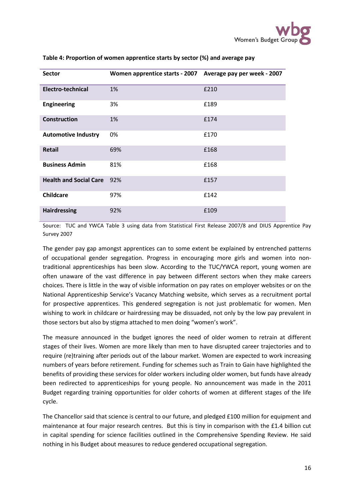| <b>Sector</b>                 | Women apprentice starts - 2007 | Average pay per week - 2007 |
|-------------------------------|--------------------------------|-----------------------------|
| <b>Electro-technical</b>      | 1%                             | £210                        |
| <b>Engineering</b>            | 3%                             | £189                        |
| Construction                  | 1%                             | £174                        |
| <b>Automotive Industry</b>    | 0%                             | £170                        |
| <b>Retail</b>                 | 69%                            | £168                        |
| <b>Business Admin</b>         | 81%                            | £168                        |
| <b>Health and Social Care</b> | 92%                            | £157                        |
| <b>Childcare</b>              | 97%                            | £142                        |
| <b>Hairdressing</b>           | 92%                            | £109                        |

#### **Table 4: Proportion of women apprentice starts by sector (%) and average pay**

Source: TUC and YWCA Table 3 using data from Statistical First Release 2007/8 and DIUS Apprentice Pay Survey 2007

The gender pay gap amongst apprentices can to some extent be explained by entrenched patterns of occupational gender segregation. Progress in encouraging more girls and women into nontraditional apprenticeships has been slow. According to the TUC/YWCA report, young women are often unaware of the vast difference in pay between different sectors when they make careers choices. There is little in the way of visible information on pay rates on employer websites or on the National Apprenticeship Service's Vacancy Matching website, which serves as a recruitment portal for prospective apprentices. This gendered segregation is not just problematic for women. Men wishing to work in childcare or hairdressing may be dissuaded, not only by the low pay prevalent in those sectors but also by stigma attached to men doing "women's work".

The measure announced in the budget ignores the need of older women to retrain at different stages of their lives. Women are more likely than men to have disrupted career trajectories and to require (re)training after periods out of the labour market. Women are expected to work increasing numbers of years before retirement. Funding for schemes such as Train to Gain have highlighted the benefits of providing these services for older workers including older women, but funds have already been redirected to apprenticeships for young people. No announcement was made in the 2011 Budget regarding training opportunities for older cohorts of women at different stages of the life cycle.

The Chancellor said that science is central to our future, and pledged £100 million for equipment and maintenance at four major research centres. But this is tiny in comparison with the £1.4 billion cut in capital spending for science facilities outlined in the Comprehensive Spending Review. He said nothing in his Budget about measures to reduce gendered occupational segregation.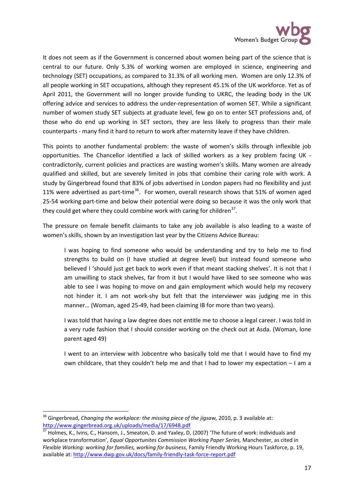

It does not seem as if the Government is concerned about women being part of the science that is central to our future. Only 5.3% of working women are employed in science, engineering and technology (SET) occupations, as compared to 31.3% of all working men. Women are only 12.3% of all people working in SET occupations, although they represent 45.1% of the UK workforce. Yet as of April 2011, the Government will no longer provide funding to UKRC, the leading body in the UK offering advice and services to address the under-representation of women SET. While a significant number of women study SET subjects at graduate level, few go on to enter SET professions and, of those who do end up working in SET sectors, they are less likely to progress than their male counterparts - many find it hard to return to work after maternity leave if they have children.

This points to another fundamental problem: the waste of women's skills through inflexible job opportunities. The Chancellor identified a lack of skilled workers as a key problem facing UK contradictorily, current policies and practices are wasting women's skills. Many women are already qualified and skilled, but are severely limited in jobs that combine their caring role with work. A study by Gingerbread found that 83% of jobs advertised in London papers had no flexibility and just 11% were advertised as part-time<sup>36</sup>. For women, overall research shows that 51% of women aged 25-54 working part-time and below their potential were doing so because it was the only work that they could get where they could combine work with caring for children<sup>[37](#page-16-1)</sup>.

The pressure on female benefit claimants to take any job available is also leading to a waste of women's skills, shown by an investigation last year by the Citizens Advice Bureau:

I was hoping to find someone who would be understanding and try to help me to find strengths to build on (I have studied at degree level) but instead found someone who believed I 'should just get back to work even if that meant stacking shelves'. It is not that I am unwilling to stack shelves, far from it but I would have liked to see someone who was able to see I was hoping to move on and gain employment which would help my recovery not hinder it. I am not work-shy but felt that the interviewer was judging me in this manner… (Woman, aged 25-49, had been claiming IB for more than two years).

I was told that having a law degree does not entitle me to choose a legal career. I was told in a very rude fashion that I should consider working on the check out at Asda. (Woman, lone parent aged 49)

I went to an interview with Jobcentre who basically told me that I would have to find my own childcare, that they couldn't help me and that I had to lower my expectation – I am a

<span id="page-16-0"></span><sup>&</sup>lt;sup>36</sup> Gingerbread, *Changing the workplace: the missing piece of the jigsaw*, 2010, p. 3 available at:<br>http://www.gingerbread.org.uk/uploads/media/17/6948.pdf

<span id="page-16-1"></span> $37$  Holmes, K., Ivins, C., Hansom, J., Smeaton, D. and Yaxley, D, (2007) 'The future of work: individuals and workplace transformation', *Equal Opportunites Commission Working Paper Series,* Manchester, as cited in *Flexible Working: working for families, working for business*, Family Friendly Working Hours Taskforce, p. 19, available at:<http://www.dwp.gov.uk/docs/family-friendly-task-force-report.pdf>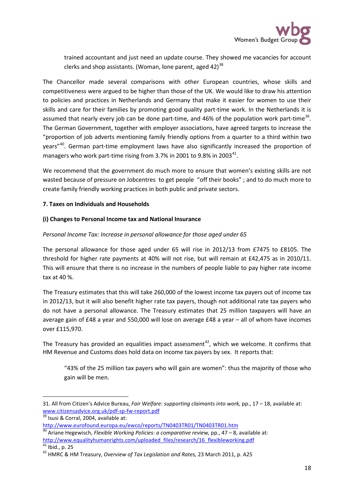trained accountant and just need an update course. They showed me vacancies for account clerks and shop assistants. (Woman, lone parent, aged 42)<sup>[38](#page-17-0)</sup>

The Chancellor made several comparisons with other European countries, whose skills and competitiveness were argued to be higher than those of the UK. We would like to draw his attention to policies and practices in Netherlands and Germany that make it easier for women to use their skills and care for their families by promoting good quality part-time work. In the Netherlands it is assumed that nearly every job can be done part-time, and 46% of the population work part-time<sup>[39](#page-17-1)</sup>. The German Government, together with employer associations, have agreed targets to increase the "proportion of job adverts mentioning family friendly options from a quarter to a third within two years"<sup>40</sup>. German part-time employment laws have also significantly increased the proportion of managers who work part-time rising from 3.7% in 2001 to 9.8% in 2003 $^{41}$  $^{41}$  $^{41}$ .

We recommend that the government do much more to ensure that women's existing skills are not wasted because of pressure on Jobcentres to get people "off their books" ; and to do much more to create family friendly working practices in both public and private sectors.

### **7. Taxes on Individuals and Households**

### **(i) Changes to Personal Income tax and National Insurance**

### *Personal Income Tax: Increase in personal allowance for those aged under 65*

The personal allowance for those aged under 65 will rise in 2012/13 from £7475 to £8105. The threshold for higher rate payments at 40% will not rise, but will remain at £42,475 as in 2010/11. This will ensure that there is no increase in the numbers of people liable to pay higher rate income tax at 40 %.

The Treasury estimates that this will take 260,000 of the lowest income tax payers out of income tax in 2012/13, but it will also benefit higher rate tax payers, though not additional rate tax payers who do not have a personal allowance. The Treasury estimates that 25 million taxpayers will have an average gain of £48 a year and 550,000 will lose on average £48 a year – all of whom have incomes over £115,970.

The Treasury has provided an equalities impact assessment<sup>42</sup>, which we welcome. It confirms that HM Revenue and Customs does hold data on income tax payers by sex. It reports that:

"43% of the 25 million tax payers who will gain are women": thus the majority of those who gain will be men.

 $\overline{\phantom{a}}$ 

<span id="page-17-0"></span><sup>31.</sup> All from Citizen's Advice Bureau, *Fair Welfare: supporting claimants into work,* pp., 17 – 18, available at: [www.citizensadvice.org.uk/pdf-sp-fw-report.pdf](http://www.citizensadvice.org.uk/pdf-sp-fw-report.pdf) <sup>39</sup> Isusi & Corral, 2004, available at:

<span id="page-17-1"></span><http://www.eurofound.europa.eu/ewco/reports/TN0403TR01/TN0403TR01.htm>

<span id="page-17-2"></span><sup>40</sup> Ariane Hegewisch, *Flexible Working Policies: a comparative review,* pp., 47 – 8, available at: [http://www.equalityhumanrights.com/uploaded\\_files/research/16\\_flexibleworking.pdf](http://www.equalityhumanrights.com/uploaded_files/research/16_flexibleworking.pdf)<sup>41</sup><br><sup>41</sup> Ibid., p. 25

<span id="page-17-4"></span><span id="page-17-3"></span><sup>&</sup>lt;sup>42</sup> HMRC & HM Treasury, *Overview of Tax Legislation and Rates,* 23 March 2011, p. A25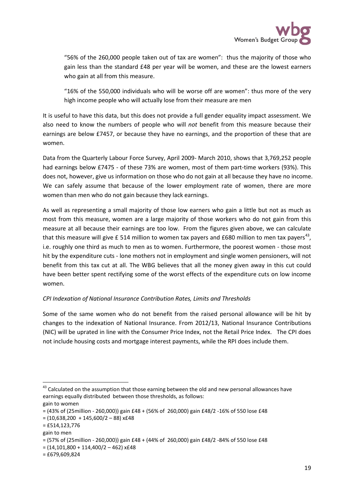

"56% of the 260,000 people taken out of tax are women": thus the majority of those who gain less than the standard £48 per year will be women, and these are the lowest earners who gain at all from this measure.

"16% of the 550,000 individuals who will be worse off are women": thus more of the very high income people who will actually lose from their measure are men

It is useful to have this data, but this does not provide a full gender equality impact assessment. We also need to know the numbers of people who will *not* benefit from this measure because their earnings are below £7457, or because they have no earnings, and the proportion of these that are women.

Data from the Quarterly Labour Force Survey, April 2009- March 2010, shows that 3,769,252 people had earnings below £7475 - of these 73% are women, most of them part-time workers (93%). This does not, however, give us information on those who do not gain at all because they have no income. We can safely assume that because of the lower employment rate of women, there are more women than men who do not gain because they lack earnings.

As well as representing a small majority of those low earners who gain a little but not as much as most from this measure, women are a large majority of those workers who do not gain from this measure at all because their earnings are too low. From the figures given above, we can calculate that this measure will give £ 514 million to women tax payers and £680 million to men tax payers<sup>[43](#page-18-0)</sup>, i.e. roughly one third as much to men as to women. Furthermore, the poorest women - those most hit by the expenditure cuts - lone mothers not in employment and single women pensioners, will not benefit from this tax cut at all. The WBG believes that all the money given away in this cut could have been better spent rectifying some of the worst effects of the expenditure cuts on low income women.

# *CPI Indexation of National Insurance Contribution Rates, Limits and Thresholds*

Some of the same women who do not benefit from the raised personal allowance will be hit by changes to the indexation of National Insurance. From 2012/13, National Insurance Contributions (NIC) will be uprated in line with the Consumer Price Index, not the Retail Price Index. The CPI does not include housing costs and mortgage interest payments, while the RPI does include them.

<span id="page-18-0"></span><sup>&</sup>lt;sup>43</sup> Calculated on the assumption that those earning between the old and new personal allowances have earnings equally distributed between those thresholds, as follows: gain to women

<sup>= (43%</sup> of (25million - 260,000)) gain £48 + (56% of 260,000) gain £48/2 -16% of 550 lose £48

 $= (10,638,200 + 145,600/2 - 88)$  x£48

<sup>= £514,123,776</sup>

gain to men

<sup>= (57%</sup> of (25million - 260,000)) gain £48 + (44% of 260,000) gain £48/2 -84% of 550 lose £48

 $= (14, 101, 800 + 114, 400/2 - 462)$  x£48

 $=$  £679,609,824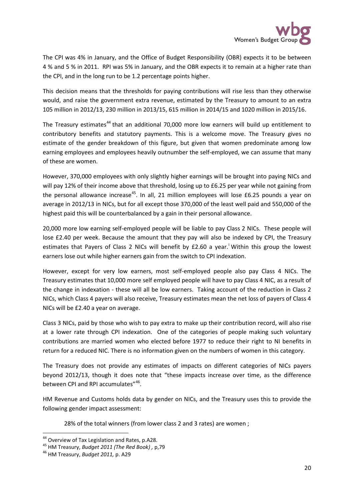

The CPI was 4% in January, and the Office of Budget Responsibility (OBR) expects it to be between 4 % and 5 % in 2011. RPI was 5% in January, and the OBR expects it to remain at a higher rate than the CPI, and in the long run to be 1.2 percentage points higher.

This decision means that the thresholds for paying contributions will rise less than they otherwise would, and raise the government extra revenue, estimated by the Treasury to amount to an extra 105 million in 2012/13, 230 million in 2013/15, 615 million in 2014/15 and 1020 million in 2015/16.

The Treasury estimates<sup>[44](#page-19-0)</sup> that an additional 70,000 more low earners will build up entitlement to contributory benefits and statutory payments. This is a welcome move. The Treasury gives no estimate of the gender breakdown of this figure, but given that women predominate among low earning employees and employees heavily outnumber the self-employed, we can assume that many of these are women.

However, 370,000 employees with only slightly higher earnings will be brought into paying NICs and will pay 12% of their income above that threshold, losing up to £6.25 per year while not gaining from the personal allowance increase<sup>[45](#page-19-1)</sup>. In all, 21 million employees will lose £6.25 pounds a year on average in 2012/13 in NICs, but for all except those 370,000 of the least well paid and 550,000 of the highest paid this will be counterbalanced by a gain in their personal allowance.

20,000 more low earning self-employed people will be liable to pay Class 2 NICs. These people will lose £2.40 per week. Because the amount that they pay will also be indexed by CPI, the Treasury est[i](#page-28-0)mates that Payers of Class 2 NICs will benefit by £2.60 a year.<sup>i</sup> Within this group the lowest earners lose out while higher earners gain from the switch to CPI indexation.

However, except for very low earners, most self-employed people also pay Class 4 NICs. The Treasury estimates that 10,000 more self employed people will have to pay Class 4 NIC, as a result of the change in indexation - these will all be low earners. Taking account of the reduction in Class 2 NICs, which Class 4 payers will also receive, Treasury estimates mean the net loss of payers of Class 4 NICs will be £2.40 a year on average.

Class 3 NICs, paid by those who wish to pay extra to make up their contribution record, will also rise at a lower rate through CPI indexation. One of the categories of people making such voluntary contributions are married women who elected before 1977 to reduce their right to NI benefits in return for a reduced NIC. There is no information given on the numbers of women in this category.

The Treasury does not provide any estimates of impacts on different categories of NICs payers beyond 2012/13, though it does note that "these impacts increase over time, as the difference between CPI and RPI accumulates"<sup>[46](#page-19-2)</sup>.

HM Revenue and Customs holds data by gender on NICs, and the Treasury uses this to provide the following gender impact assessment:

28% of the total winners (from lower class 2 and 3 rates) are women ;

<span id="page-19-1"></span><span id="page-19-0"></span><sup>&</sup>lt;sup>44</sup> Overview of Tax Legislation and Rates, p.A28.<br><sup>45</sup> HM Treasury, *Budget 2011 (The Red Book)* , p,79<br><sup>46</sup> HM Treasurv. *Budget 2011*, p. A29

<span id="page-19-2"></span>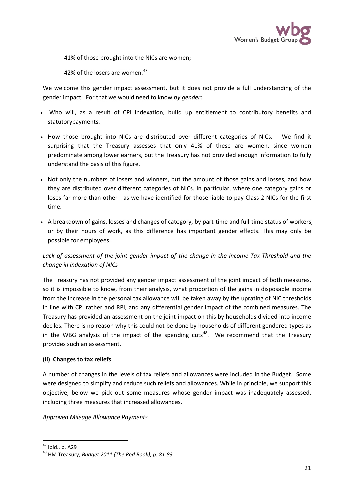

41% of those brought into the NICs are women;

42% of the losers are women.<sup>[47](#page-20-0)</sup>

We welcome this gender impact assessment, but it does not provide a full understanding of the gender impact. For that we would need to know *by gender*:

- Who will, as a result of CPI indexation, build up entitlement to contributory benefits and statutorypayments.
- How those brought into NICs are distributed over different categories of NICs. We find it surprising that the Treasury assesses that only 41% of these are women, since women predominate among lower earners, but the Treasury has not provided enough information to fully understand the basis of this figure.
- Not only the numbers of losers and winners, but the amount of those gains and losses, and how they are distributed over different categories of NICs. In particular, where one category gains or loses far more than other - as we have identified for those liable to pay Class 2 NICs for the first time.
- A breakdown of gains, losses and changes of category, by part-time and full-time status of workers, or by their hours of work, as this difference has important gender effects. This may only be possible for employees.

# *Lack of assessment of the joint gender impact of the change in the Income Tax Threshold and the change in indexation of NICs*

The Treasury has not provided any gender impact assessment of the joint impact of both measures, so it is impossible to know, from their analysis, what proportion of the gains in disposable income from the increase in the personal tax allowance will be taken away by the uprating of NIC thresholds in line with CPI rather and RPI, and any differential gender impact of the combined measures. The Treasury has provided an assessment on the joint impact on this by households divided into income deciles. There is no reason why this could not be done by households of different gendered types as in the WBG analysis of the impact of the spending cuts<sup>[48](#page-20-1)</sup>. We recommend that the Treasury provides such an assessment.

# **(ii) Changes to tax reliefs**

A number of changes in the levels of tax reliefs and allowances were included in the Budget. Some were designed to simplify and reduce such reliefs and allowances. While in principle, we support this objective, below we pick out some measures whose gender impact was inadequately assessed, including three measures that increased allowances.

### *Approved Mileage Allowance Payments*

<span id="page-20-1"></span><span id="page-20-0"></span><sup>47</sup> Ibid., p. A29 <sup>48</sup> HM Treasury, *Budget 2011 (The Red Book), p. 81-83*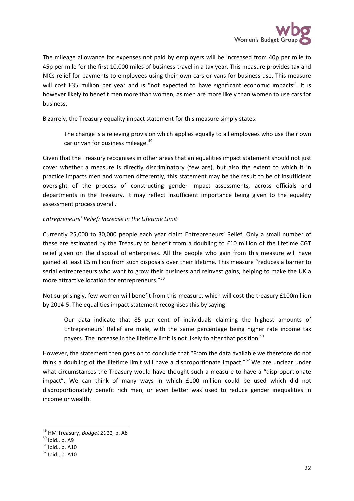

The mileage allowance for expenses not paid by employers will be increased from 40p per mile to 45p per mile for the first 10,000 miles of business travel in a tax year. This measure provides tax and NICs relief for payments to employees using their own cars or vans for business use. This measure will cost £35 million per year and is "not expected to have significant economic impacts". It is however likely to benefit men more than women, as men are more likely than women to use cars for business.

Bizarrely, the Treasury equality impact statement for this measure simply states:

The change is a relieving provision which applies equally to all employees who use their own car or van for business mileage.<sup>[49](#page-21-0)</sup>

Given that the Treasury recognises in other areas that an equalities impact statement should not just cover whether a measure is directly discriminatory (few are), but also the extent to which it in practice impacts men and women differently, this statement may be the result to be of insufficient oversight of the process of constructing gender impact assessments, across officials and departments in the Treasury. It may reflect insufficient importance being given to the equality assessment process overall.

### *Entrepreneurs' Relief: Increase in the Lifetime Limit*

Currently 25,000 to 30,000 people each year claim Entrepreneurs' Relief. Only a small number of these are estimated by the Treasury to benefit from a doubling to £10 million of the lifetime CGT relief given on the disposal of enterprises. All the people who gain from this measure will have gained at least £5 million from such disposals over their lifetime. This measure "reduces a barrier to serial entrepreneurs who want to grow their business and reinvest gains, helping to make the UK a more attractive location for entrepreneurs."<sup>[50](#page-21-1)</sup>

Not surprisingly, few women will benefit from this measure, which will cost the treasury £100million by 2014-5. The equalities impact statement recognises this by saying

Our data indicate that 85 per cent of individuals claiming the highest amounts of Entrepreneurs' Relief are male, with the same percentage being higher rate income tax payers. The increase in the lifetime limit is not likely to alter that position.<sup>[51](#page-21-2)</sup>

However, the statement then goes on to conclude that "From the data available we therefore do not think a doubling of the lifetime limit will have a disproportionate impact."<sup>[52](#page-21-3)</sup> We are unclear under what circumstances the Treasury would have thought such a measure to have a "disproportionate impact". We can think of many ways in which £100 million could be used which did not disproportionately benefit rich men, or even better was used to reduce gender inequalities in income or wealth.

<span id="page-21-0"></span><sup>&</sup>lt;sup>49</sup> HM Treasury, *Budget 2011,* p. A8<br><sup>50</sup> Ibid., p. A9<br><sup>51</sup> Ibid., p. A10<br><sup>52</sup> Ibid., p. A10

<span id="page-21-1"></span>

<span id="page-21-2"></span>

<span id="page-21-3"></span>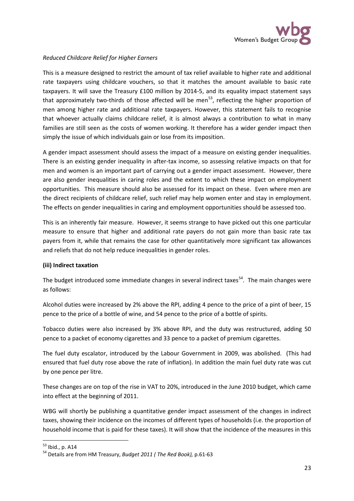

# *Reduced Childcare Relief for Higher Earners*

This is a measure designed to restrict the amount of tax relief available to higher rate and additional rate taxpayers using childcare vouchers, so that it matches the amount available to basic rate taxpayers. It will save the Treasury £100 million by 2014-5, and its equality impact statement says that approximately two-thirds of those affected will be men<sup>[53](#page-22-0)</sup>, reflecting the higher proportion of men among higher rate and additional rate taxpayers. However, this statement fails to recognise that whoever actually claims childcare relief, it is almost always a contribution to what in many families are still seen as the costs of women working. It therefore has a wider gender impact then simply the issue of which individuals gain or lose from its imposition.

A gender impact assessment should assess the impact of a measure on existing gender inequalities. There is an existing gender inequality in after-tax income, so assessing relative impacts on that for men and women is an important part of carrying out a gender impact assessment. However, there are also gender inequalities in caring roles and the extent to which these impact on employment opportunities. This measure should also be assessed for its impact on these. Even where men are the direct recipients of childcare relief, such relief may help women enter and stay in employment. The effects on gender inequalities in caring and employment opportunities should be assessed too.

This is an inherently fair measure. However, it seems strange to have picked out this one particular measure to ensure that higher and additional rate payers do not gain more than basic rate tax payers from it, while that remains the case for other quantitatively more significant tax allowances and reliefs that do not help reduce inequalities in gender roles.

### **(iii) Indirect taxation**

The budget introduced some immediate changes in several indirect taxes<sup>[54](#page-22-1)</sup>. The main changes were as follows:

Alcohol duties were increased by 2% above the RPI, adding 4 pence to the price of a pint of beer, 15 pence to the price of a bottle of wine, and 54 pence to the price of a bottle of spirits.

Tobacco duties were also increased by 3% above RPI, and the duty was restructured, adding 50 pence to a packet of economy cigarettes and 33 pence to a packet of premium cigarettes.

The fuel duty escalator, introduced by the Labour Government in 2009, was abolished. (This had ensured that fuel duty rose above the rate of inflation). In addition the main fuel duty rate was cut by one pence per litre.

These changes are on top of the rise in VAT to 20%, introduced in the June 2010 budget, which came into effect at the beginning of 2011.

WBG will shortly be publishing a quantitative gender impact assessment of the changes in indirect taxes, showing their incidence on the incomes of different types of households (i.e. the proportion of household income that is paid for these taxes). It will show that the incidence of the measures in this

<span id="page-22-1"></span><span id="page-22-0"></span><sup>&</sup>lt;sup>53</sup> Ibid., p. A14<br><sup>54</sup> Details are from HM Treasury, *Budget 2011 ( The Red Book)*, p.61-63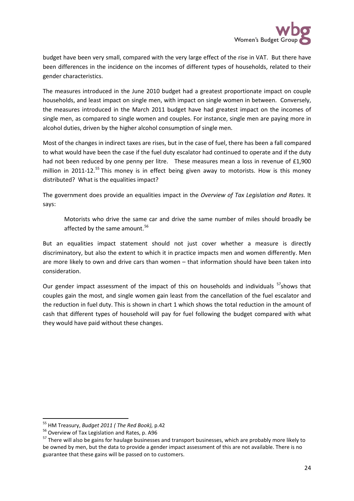

budget have been very small, compared with the very large effect of the rise in VAT. But there have been differences in the incidence on the incomes of different types of households, related to their gender characteristics.

The measures introduced in the June 2010 budget had a greatest proportionate impact on couple households, and least impact on single men, with impact on single women in between. Conversely, the measures introduced in the March 2011 budget have had greatest impact on the incomes of single men, as compared to single women and couples. For instance, single men are paying more in alcohol duties, driven by the higher alcohol consumption of single men.

Most of the changes in indirect taxes are rises, but in the case of fuel, there has been a fall compared to what would have been the case if the fuel duty escalator had continued to operate and if the duty had not been reduced by one penny per litre. These measures mean a loss in revenue of £1,900 million in 2011-12.<sup>[55](#page-23-0)</sup> This money is in effect being given away to motorists. How is this money distributed? What is the equalities impact?

The government does provide an equalities impact in the *Overview of Tax Legislation and Rates.* It says:

Motorists who drive the same car and drive the same number of miles should broadly be affected by the same amount.<sup>[56](#page-23-1)</sup>

But an equalities impact statement should not just cover whether a measure is directly discriminatory, but also the extent to which it in practice impacts men and women differently. Men are more likely to own and drive cars than women – that information should have been taken into consideration.

Our gender impact assessment of the impact of this on households and individuals <sup>[57](#page-23-2)</sup>shows that couples gain the most, and single women gain least from the cancellation of the fuel escalator and the reduction in fuel duty. This is shown in chart 1 which shows the total reduction in the amount of cash that different types of household will pay for fuel following the budget compared with what they would have paid without these changes.

<span id="page-23-0"></span><sup>&</sup>lt;sup>55</sup> HM Treasury, *Budget 2011 (The Red Book)*, p.42<br><sup>56</sup> Overview of Tax Legislation and Rates, p. A96

<span id="page-23-1"></span>

<span id="page-23-2"></span><sup>&</sup>lt;sup>57</sup> There will also be gains for haulage businesses and transport businesses, which are probably more likely to be owned by men, but the data to provide a gender impact assessment of this are not available. There is no guarantee that these gains will be passed on to customers.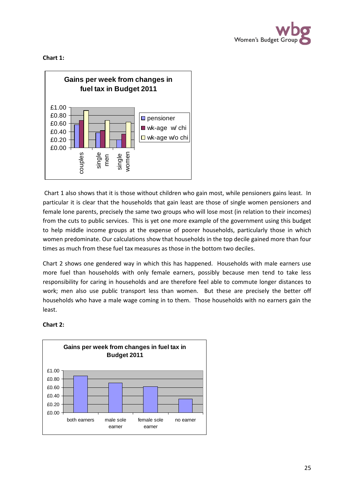

**Chart 1:**



Chart 1 also shows that it is those without children who gain most, while pensioners gains least. In particular it is clear that the households that gain least are those of single women pensioners and female lone parents, precisely the same two groups who will lose most (in relation to their incomes) from the cuts to public services. This is yet one more example of the government using this budget to help middle income groups at the expense of poorer households, particularly those in which women predominate. Our calculations show that households in the top decile gained more than four times as much from these fuel tax measures as those in the bottom two deciles.

Chart 2 shows one gendered way in which this has happened. Households with male earners use more fuel than households with only female earners, possibly because men tend to take less responsibility for caring in households and are therefore feel able to commute longer distances to work; men also use public transport less than women. But these are precisely the better off households who have a male wage coming in to them. Those households with no earners gain the least.

### **Chart 2:**

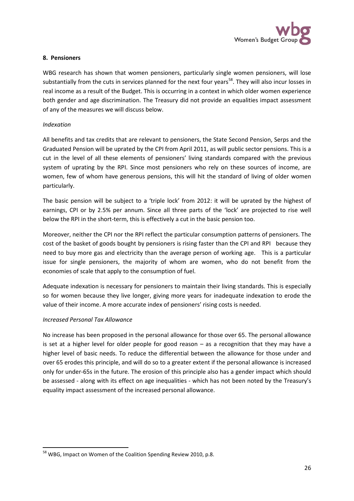

### **8. Pensioners**

WBG research has shown that women pensioners, particularly single women pensioners, will lose substantially from the cuts in services planned for the next four years<sup>[58](#page-25-0)</sup>. They will also incur losses in real income as a result of the Budget. This is occurring in a context in which older women experience both gender and age discrimination. The Treasury did not provide an equalities impact assessment of any of the measures we will discuss below.

### *Indexation*

All benefits and tax credits that are relevant to pensioners, the State Second Pension, Serps and the Graduated Pension will be uprated by the CPI from April 2011, as will public sector pensions. This is a cut in the level of all these elements of pensioners' living standards compared with the previous system of uprating by the RPI. Since most pensioners who rely on these sources of income, are women, few of whom have generous pensions, this will hit the standard of living of older women particularly.

The basic pension will be subject to a 'triple lock' from 2012: it will be uprated by the highest of earnings, CPI or by 2.5% per annum. Since all three parts of the 'lock' are projected to rise well below the RPI in the short-term, this is effectively a cut in the basic pension too.

Moreover, neither the CPI nor the RPI reflect the particular consumption patterns of pensioners. The cost of the basket of goods bought by pensioners is rising faster than the CPI and RPI because they need to buy more gas and electricity than the average person of working age. This is a particular issue for single pensioners, the majority of whom are women, who do not benefit from the economies of scale that apply to the consumption of fuel.

Adequate indexation is necessary for pensioners to maintain their living standards. This is especially so for women because they live longer, giving more years for inadequate indexation to erode the value of their income. A more accurate index of pensioners' rising costs is needed.

### *Increased Personal Tax Allowance*

No increase has been proposed in the personal allowance for those over 65. The personal allowance is set at a higher level for older people for good reason – as a recognition that they may have a higher level of basic needs. To reduce the differential between the allowance for those under and over 65 erodes this principle, and will do so to a greater extent if the personal allowance is increased only for under-65s in the future. The erosion of this principle also has a gender impact which should be assessed - along with its effect on age inequalities - which has not been noted by the Treasury's equality impact assessment of the increased personal allowance.

<span id="page-25-0"></span><sup>&</sup>lt;sup>58</sup> WBG, Impact on Women of the Coalition Spending Review 2010, p.8.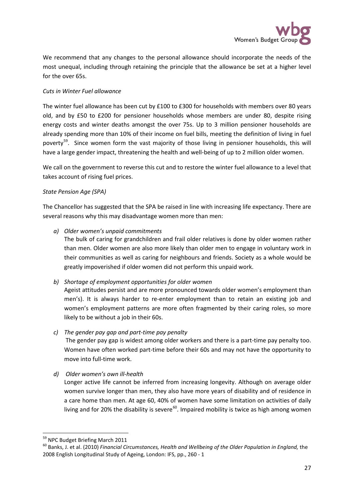

We recommend that any changes to the personal allowance should incorporate the needs of the most unequal, including through retaining the principle that the allowance be set at a higher level for the over 65s.

### *Cuts in Winter Fuel allowance*

The winter fuel allowance has been cut by £100 to £300 for households with members over 80 years old, and by £50 to £200 for pensioner households whose members are under 80, despite rising energy costs and winter deaths amongst the over 75s. Up to 3 million pensioner households are already spending more than 10% of their income on fuel bills, meeting the definition of living in fuel poverty<sup>[59](#page-26-0)</sup>. Since women form the vast majority of those living in pensioner households, this will have a large gender impact, threatening the health and well-being of up to 2 million older women.

We call on the government to reverse this cut and to restore the winter fuel allowance to a level that takes account of rising fuel prices.

### *State Pension Age (SPA)*

The Chancellor has suggested that the SPA be raised in line with increasing life expectancy. There are several reasons why this may disadvantage women more than men:

*a) Older women's unpaid commitments*

The bulk of caring for grandchildren and frail older relatives is done by older women rather than men. Older women are also more likely than older men to engage in voluntary work in their communities as well as caring for neighbours and friends. Society as a whole would be greatly impoverished if older women did not perform this unpaid work.

# *b) Shortage of employment opportunities for older women*

Ageist attitudes persist and are more pronounced towards older women's employment than men's). It is always harder to re-enter employment than to retain an existing job and women's employment patterns are more often fragmented by their caring roles, so more likely to be without a job in their 60s.

# *c) The gender pay gap and part-time pay penalty*

The gender pay gap is widest among older workers and there is a part-time pay penalty too. Women have often worked part-time before their 60s and may not have the opportunity to move into full-time work.

# *d) Older women's own ill-health*

Longer active life cannot be inferred from increasing longevity. Although on average older women survive longer than men, they also have more years of disability and of residence in a care home than men. At age 60, 40% of women have some limitation on activities of daily living and for 20% the disability is severe<sup>[60](#page-26-1)</sup>. Impaired mobility is twice as high among women

<span id="page-26-0"></span> <sup>59</sup> NPC Budget Briefing March 2011

<span id="page-26-1"></span><sup>60</sup> Banks, J. et al. (2010) *Financial Circumstances, Health and Wellbeing of the Older Population in England,* the 2008 English Longitudinal Study of Ageing, London: IFS, pp., 260 - 1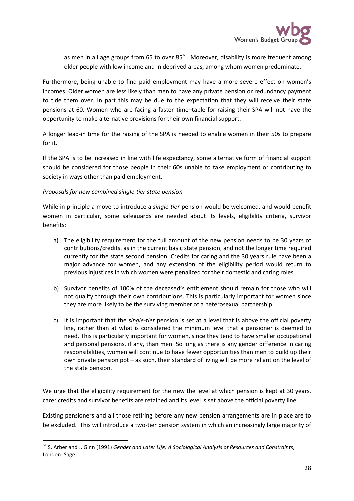

as men in all age groups from 65 to over  $85^{61}$  $85^{61}$  $85^{61}$ . Moreover, disability is more frequent among older people with low income and in deprived areas, among whom women predominate.

Furthermore, being unable to find paid employment may have a more severe effect on women's incomes. Older women are less likely than men to have any private pension or redundancy payment to tide them over. In part this may be due to the expectation that they will receive their state pensions at 60. Women who are facing a faster time–table for raising their SPA will not have the opportunity to make alternative provisions for their own financial support.

A longer lead-in time for the raising of the SPA is needed to enable women in their 50s to prepare for it.

If the SPA is to be increased in line with life expectancy, some alternative form of financial support should be considered for those people in their 60s unable to take employment or contributing to society in ways other than paid employment.

### *Proposals for new combined single-tier state pension*

While in principle a move to introduce a *single-tier* pension would be welcomed, and would benefit women in particular, some safeguards are needed about its levels, eligibility criteria, survivor benefits:

- a) The eligibility requirement for the full amount of the new pension needs to be 30 years of contributions/credits, as in the current basic state pension, and not the longer time required currently for the state second pension. Credits for caring and the 30 years rule have been a major advance for women, and any extension of the eligibility period would return to previous injustices in which women were penalized for their domestic and caring roles.
- b) Survivor benefits of 100% of the deceased's entitlement should remain for those who will not qualify through their own contributions. This is particularly important for women since they are more likely to be the surviving member of a heterosexual partnership.
- c) It is important that the *single-tier* pension is set at a level that is above the official poverty line, rather than at what is considered the minimum level that a pensioner is deemed to need. This is particularly important for women, since they tend to have smaller occupational and personal pensions, if any, than men. So long as there is any gender difference in caring responsibilities, women will continue to have fewer opportunities than men to build up their own private pension pot – as such, their standard of living will be more reliant on the level of the state pension.

We urge that the eligibility requirement for the new the level at which pension is kept at 30 years, carer credits and survivor benefits are retained and its level is set above the official poverty line.

Existing pensioners and all those retiring before any new pension arrangements are in place are to be excluded. This will introduce a two-tier pension system in which an increasingly large majority of

<span id="page-27-0"></span> <sup>61</sup> S. Arber and J. Ginn (1991) *Gender and Later Life: A Sociological Analysis of Resources and Constraints*, London: Sage